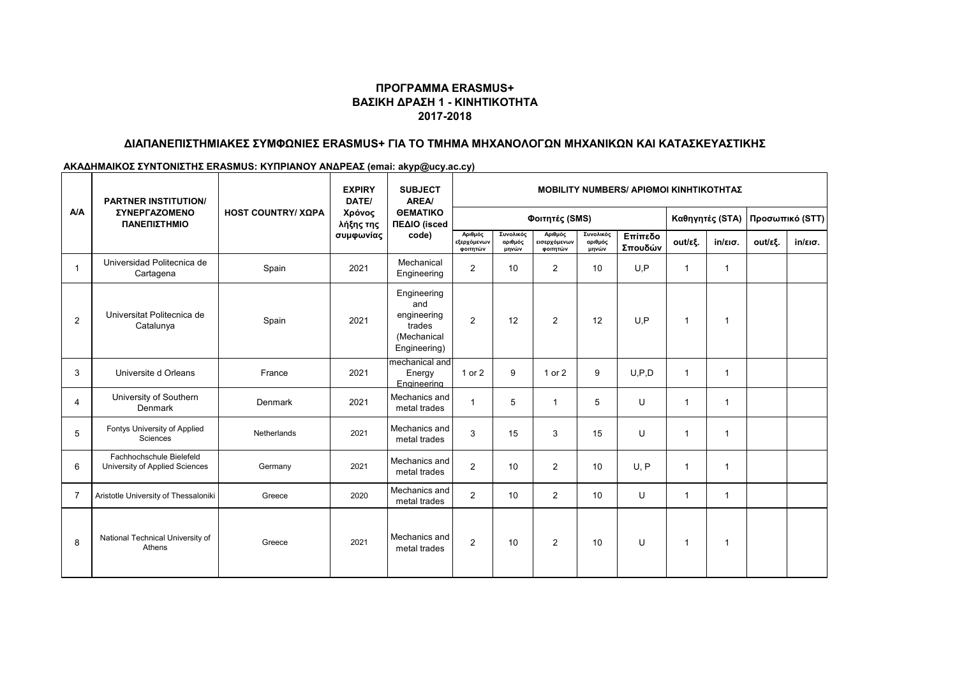## **ΠΡΟΓΡΑΜΜΑ ERASMUS+ ΒΑΣΙΚΗ ΔΡΑΣΗ 1 - ΚΙΝΗΤΙΚΟΤΗΤΑ 2017-2018**

## **ΔΙΑΠΑΝΕΠΙΣΤΗΜΙΑΚΕΣ ΣΥΜΦΩΝΙΕΣ ERASMUS+ ΓΙΑ ΤΟ ΤΜΗΜΑ ΜΗΧΑΝΟΛΟΓΩΝ ΜΗΧΑΝΙΚΩΝ ΚΑΙ ΚΑΤΑΣΚΕΥΑΣΤΙΚΗΣ**

## **ΑΚΑΔΗΜΑΙΚΟΣ ΣΥΝΤΟΝΙΣΤΗΣ ERASMUS: ΚΥΠΡΙΑΝΟΥ ΑΝΔΡΕΑΣ (emai: akyp@ucy.ac.cy)**

| A/A            | <b>PARTNER INSTITUTION/</b><br><b><i>ΣΥΝΕΡΓΑΖΟΜΕΝΟ</i></b><br>ΠΑΝΕΠΙΣΤΗΜΙΟ | <b>HOST COUNTRY/ ΧΩΡΑ</b> | <b>EXPIRY</b><br>DATE/<br>Χρόνος<br>λήξης της<br>συμφωνίας | <b>SUBJECT</b><br><b>AREA</b><br><b>OEMATIKO</b><br>ΠΕΔΙΟ (isced<br>code)  | <b>MOBILITY NUMBERS/ APIOMOI KINHTIKOTHTAZ</b> |                               |                                     |                               |                    |                 |                   |                 |                   |  |
|----------------|----------------------------------------------------------------------------|---------------------------|------------------------------------------------------------|----------------------------------------------------------------------------|------------------------------------------------|-------------------------------|-------------------------------------|-------------------------------|--------------------|-----------------|-------------------|-----------------|-------------------|--|
|                |                                                                            |                           |                                                            |                                                                            | Φοιτητές (SMS)                                 |                               |                                     |                               |                    | Καθηγητές (STA) |                   | Προσωπικό (STT) |                   |  |
|                |                                                                            |                           |                                                            |                                                                            | Αριθμός<br>εξερχόμενων<br>φοιτητών             | Συνολικός<br>αριθμός<br>μηνών | Αριθμός<br>εισερχόμενων<br>φοιτητών | Συνολικός<br>αριθμός<br>μηνών | Επίπεδο<br>Σπουδών | out/εξ.         | $in/\epsilon$ ισ. | out/εξ.         | $in/\epsilon$ ισ. |  |
|                | Universidad Politecnica de<br>Cartagena                                    | Spain                     | 2021                                                       | Mechanical<br>Engineering                                                  | $\overline{c}$                                 | 10                            | $\overline{2}$                      | 10                            | U.P                |                 | 1                 |                 |                   |  |
| $\overline{2}$ | Universitat Politecnica de<br>Catalunya                                    | Spain                     | 2021                                                       | Engineering<br>and<br>engineering<br>trades<br>(Mechanical<br>Engineering) | $\overline{2}$                                 | 12                            | $\overline{2}$                      | 12                            | U.P                |                 | 1                 |                 |                   |  |
| 3              | Universite d Orleans                                                       | France                    | 2021                                                       | mechanical and<br>Energy<br>Engineering                                    | 1 or 2                                         | 9                             | 1 or 2                              | 9                             | U, P, D            | -1              | 1                 |                 |                   |  |
| $\overline{4}$ | University of Southern<br>Denmark                                          | Denmark                   | 2021                                                       | Mechanics and<br>metal trades                                              | 1                                              | 5                             | $\mathbf{1}$                        | 5                             | U                  |                 | 1                 |                 |                   |  |
| 5              | Fontys University of Applied<br>Sciences                                   | Netherlands               | 2021                                                       | Mechanics and<br>metal trades                                              | 3                                              | 15                            | 3                                   | 15                            | U                  |                 | 1                 |                 |                   |  |
| 6              | Fachhochschule Bielefeld<br>University of Applied Sciences                 | Germany                   | 2021                                                       | Mechanics and<br>metal trades                                              | $\overline{2}$                                 | 10                            | $\overline{2}$                      | 10                            | U, P               |                 | 1                 |                 |                   |  |
| $\overline{7}$ | Aristotle University of Thessaloniki                                       | Greece                    | 2020                                                       | Mechanics and<br>metal trades                                              | $\overline{2}$                                 | 10                            | $\overline{2}$                      | 10                            | U                  | $\mathbf{1}$    | $\overline{1}$    |                 |                   |  |
| 8              | National Technical University of<br>Athens                                 | Greece                    | 2021                                                       | Mechanics and<br>metal trades                                              | $\overline{c}$                                 | 10                            | $\overline{2}$                      | 10                            | U                  | -1              | -1                |                 |                   |  |